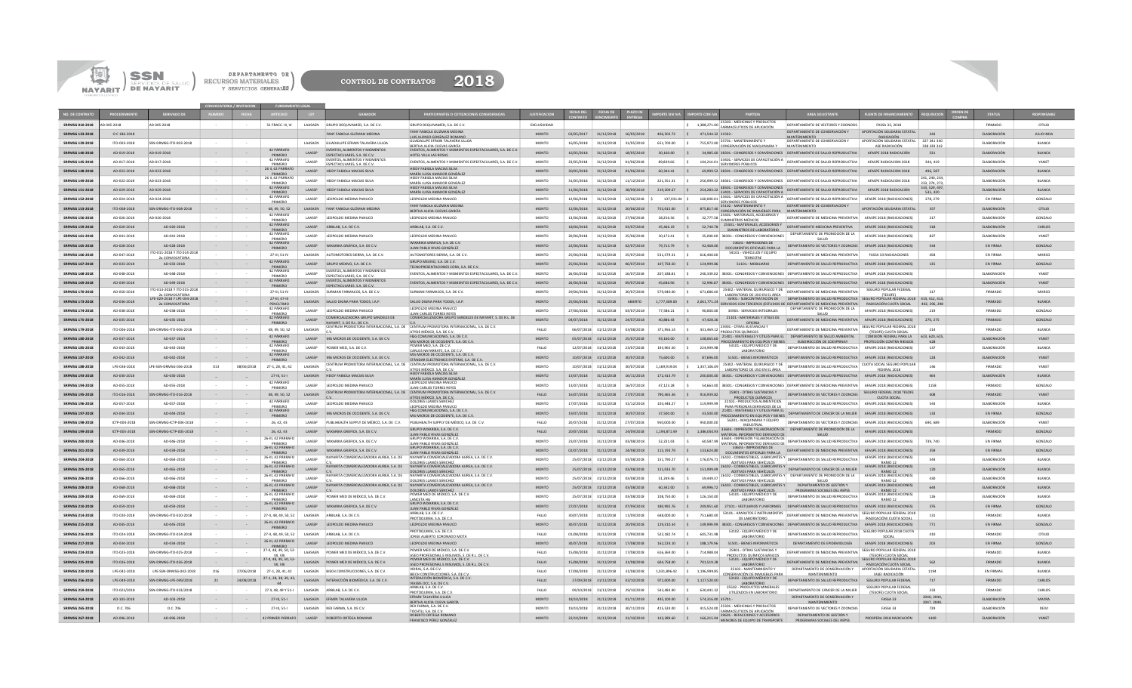



|                                                  |                              | SSN                                                        |                                   |                          | DEPARTAMENTO DE                                     |                    |                                                                                                       |                                                                                                                                                         |                              |                          |                                                           |                          |                            |                                            |                                                                                                                                       |                                                                                                                                                                                                                                                       |                                                                                        |                              |                                    |                                |
|--------------------------------------------------|------------------------------|------------------------------------------------------------|-----------------------------------|--------------------------|-----------------------------------------------------|--------------------|-------------------------------------------------------------------------------------------------------|---------------------------------------------------------------------------------------------------------------------------------------------------------|------------------------------|--------------------------|-----------------------------------------------------------|--------------------------|----------------------------|--------------------------------------------|---------------------------------------------------------------------------------------------------------------------------------------|-------------------------------------------------------------------------------------------------------------------------------------------------------------------------------------------------------------------------------------------------------|----------------------------------------------------------------------------------------|------------------------------|------------------------------------|--------------------------------|
|                                                  | <b>NAYARIT</b>               | SALUD<br>/ DE NAYARIT                                      |                                   | RECURSOS MATERIALES      | Y SERVICIOS GENERALES                               |                    | <b>CONTROL DE CONTRATOS</b>                                                                           | 2018                                                                                                                                                    |                              |                          |                                                           |                          |                            |                                            |                                                                                                                                       |                                                                                                                                                                                                                                                       |                                                                                        |                              |                                    |                                |
|                                                  |                              |                                                            |                                   |                          |                                                     |                    |                                                                                                       |                                                                                                                                                         |                              |                          |                                                           |                          |                            |                                            |                                                                                                                                       |                                                                                                                                                                                                                                                       |                                                                                        |                              |                                    |                                |
|                                                  |                              |                                                            |                                   |                          |                                                     |                    |                                                                                                       |                                                                                                                                                         |                              |                          |                                                           |                          |                            |                                            |                                                                                                                                       |                                                                                                                                                                                                                                                       |                                                                                        |                              | <b>STATU</b>                       |                                |
| RFMSG 010-2018                                   | AD 005-2018                  | AD 005-2018                                                |                                   |                          | 51 FRACC. III, VI                                   | LAASAEN            | GRUPO DEQUIVAMED, S.A. DE C.V.                                                                        | GRUPO DEQUIVAMED, S.A. DE C.V                                                                                                                           | EXCLUSIVIDAD                 |                          |                                                           |                          |                            | 1,388,271.00<br>ls.                        | 25303.- MEDICINAS Y PRODUCTOS<br>FARMACEUTICOS DE APLICACIÓN                                                                          | DEPARTAMENTO DE VECTORES Y ZOONOSIS                                                                                                                                                                                                                   | FASSA 33, 2018                                                                         |                              | FIRMADO                            | OTILIO                         |
| <b>SRFMSG 133-2018</b>                           | O C 186-2018                 |                                                            |                                   |                          |                                                     |                    | FANY FABIOLA GUZMAN MEDINA                                                                            | ANY FABIOLA GUZMAN MEDINA<br>LUIS ALONSO GONZALEZ ROMANO<br><b>GUADALUPE EFRAIN TALAVERA ULLOA</b>                                                      | <b>MONTO</b>                 | 02/05/2017               |                                                           | 31/12/2018 16/05/2018    | 406.503.72                 | $\vert$ s<br>471.544.32 31502.-            | 755,972.00 35701. MANTENIMIENTO Y                                                                                                     | DEPARTAMENTO DE CONSERVACIÓN Y<br>MANTENIMIENTO<br>DEPARTAMENTO DE CONSERVACIÓN Y                                                                                                                                                                     | APORTACIÓN SOLIDARIA ESTATAL<br>RADICACIÓN<br>APORTACIÓN SOLIDARIA ESTATAL 327 341 340 | 343                          | ELABORACIÓN                        | <b>JULIO INDA</b>              |
| RFMSG 139-2018<br><b>SRFMSG 140-2018</b>         | ITO-003-2018<br>AD-019-2018  | SSN-DRMSG-ITO-003-2018<br>AD-019-2018                      | $\sim 10^{-1}$                    |                          | 42 PÁRRAFO                                          | LAASAEN<br>LAASSP  | <b>GUADALUPE EFRAIN TALAVERA ULLOA</b><br>EVENTOS, ALIMENTOS Y MOMENTOS                               | BERTHA ALICIA CUEVAS GARCÍA<br>EVENTOS, ALIMENTOS Y MOMENTOS ESPECTACULARES, S.A. DE C.V.                                                               | MONTO<br><b>MONTO</b>        | 16/05/2018<br>16/05/2018 | 31/12/2018<br>31/12/2018                                  | 31/05/2018<br>18/05/2018 | 651,700.00<br>30,160.00    |                                            | CONSERVACIÓN DE MAQUINARIA Y                                                                                                          | MANTENIMIENTO<br>34.985.60 38301 .- CONGRESOS Y CONVENCIONES DEPARTAMENTO DE SALUD REPRODUCTIVA                                                                                                                                                       | ASE RADICACIÓN<br>AFASPE 2018 RADICACIÓN                                               | 338 339 342<br>531           | ELABORACIÓN<br><b>ELABORACIÓN</b>  | BLANCA<br><b>BLANCA</b>        |
| RFMSG 145-2018                                   | AD-017-2018                  | AD-017-2018                                                |                                   |                          | PRIMERO<br>42 PÁRRAFO<br>PRIMERO                    | LAASSP             | ESPECTACULARES. S.A. DE C.V.<br>EVENTOS, ALIMENTOS Y MOMENTOS<br>ESPECTACULARES. S.A. DE C.V.         | HOTEL VILLA LAS ROSAS<br>EVENTOS, ALIMENTOS Y MOMENTOS ESPECTACULARES, S.A. DE C.V.                                                                     | MONTO                        | 23/05/2018               | 31/12/2018                                                | 01/06/2018               | 89,839.66                  |                                            | SERVIDORES PÚBLICOS                                                                                                                   | 104,214.01 33401.- SERVICIOS DE CAPACITACIÓN A DEPARTAMENTO DE SALUD REPRODUCTIVA                                                                                                                                                                     | AFASPE RADICACION 2018                                                                 | 344, 419                     | <b>ELABORACIÓN</b>                 | YANET                          |
| <b>SRFMSG 148-2018</b>                           | AD-023-2018                  | AD-023-2018                                                | $\sim$                            |                          | 26 II, 42 PÁRRAFO<br>PRIMERO<br>26 II, 42 PÁRRAFO   | LAASSP             | HEIDY FABIOLA MACIAS SILVA                                                                            | HEIDY FABIOLA MACIAS SILVA<br>MARÍA LUISA AMADOR GONZÁLEZ<br>HEIDY FABIOLA MACIAS SILVA                                                                 | <b>MONTO</b>                 | 30/05/2018               | 31/12/2018                                                | 01/06/2018               | 60.344.41                  |                                            |                                                                                                                                       | 69.999.52 38301 .- CONGRESOS Y CONVENCIONES DEPARTAMENTO DE SALUD REPRODUCTIVA                                                                                                                                                                        | AFASPE RADICACION 2018                                                                 | 496.587<br>241.240.234.      | ELABORACIÓN                        | <b>BLANCA</b>                  |
| RFMSG 149-2018<br><b>SRFMSG 151-2018</b>         | AD-022-2018<br>AD-029-2018   | AD-023-2018<br>AD-029-2018                                 | $\sim$<br>$\sim$ $\sim$           |                          | PRIMERO<br>42 PÁRRAFO                               | LAASSP<br>LAASSP   | HEIDY FABIOLA MACIAS SILVA<br>HEIDY FABIOLA MACIAS SILVA                                              | MARÍA LUISA AMADOR GONZÁLEZ<br>HEIDY FABIOLA MACIAS SILVA                                                                                               | MONTO<br><b>MONTO</b>        | 31/05/2018<br>11/06/2018 | 31/12/2018<br>31/12/2018                                  | 11/12/2018<br>28/09/2018 | 221,551.31<br>219,209.67   | l s                                        | 254,283.22 38301 - CONGRESOS Y CONVENCIONES                                                                                           | 256,999.52 38301.- CONGRESOS Y CONVENCIONES DEPARTAMENTO DE SALUD REPRODUCTIVA<br>DEPARTAMENTO DE SALUD REPRODUCTIVA                                                                                                                                  | AFASPE RADICACION 2018<br>AFASPE 2018 RADICACIÓN                                       | 233.274.273<br>533, 529, 497 | ELABORACIÓN<br>ELABORACIÓN         | BLANCA<br><b>BLANCA</b>        |
| RFMSG 152-2018                                   | AD-024-2018                  | AD-024-2018                                                | $\sim$                            |                          | PRIMERO<br>42 PÁRRAFO<br>PRIMERO                    | LAASSP             | LEOPOLDO MEDINA PANUCO                                                                                | MARÍA LUISA AMADOR GONZÁLEZ<br>LEOPOLDO MEDINA PANUCO                                                                                                   | MONTO                        | 12/06/2018               | 31/12/2018                                                | 22/06/2018               | 137,931.04 \$              | 160,000.01                                 | 33401 .- SERVICIOS DE CAPACITACIÓN A<br>33401 .- SERVICIOS DE CAPACITACIÓN A<br>SERVIDORES PÚBLICOS                                   | DEPARTAMENTO DE SALUD REPRODUCTIVA                                                                                                                                                                                                                    | AFASPE 2018 (RADICACIONES)                                                             | 535.420<br>278, 279          | EN FIRMA                           | GONZALO                        |
| <b>SRFMSG 153-2018</b><br>RFMSG 156-2018         | ITO-008-2018<br>AD-026-2018  | SSN-DRMSG-ITO-008-2018<br>AD-026-2018                      | $\sim$<br>$\sim$                  |                          | 48.49.50.52<br>42 PÁRRAFO                           | LAASSP             | LAASAEN FANY FABIOLA GUZMAN MEDINA<br>LEOPOLDO MEDINA PANUCO                                          | FANY FABIOLA GUZMAN MEDINA<br>RERTHA ALICIA CUEVAS GARCÍA<br>LEOPOLDO MEDINA PANUCO                                                                     | <b>MONTO</b><br>MONTO        | 12/06/2018<br>13/06/2018 | 31/12/2018<br>31/12/2018                                  | 20/06/2018<br>27/06/2018 | 755,015,00<br>28,256.36    | $\mathsf{S}$                               | 875,817.40 35102. MANTENIMIENTO Y<br>CONSERVACIÓN DE INMUERI ES PARA MANTENIMIENTO<br>32,777.38 25401. MATERIALES, ACCESORIOS Y       | DEPARTAMENTO DE CONSERVACIÓN Y<br>DEPARTAMENTO DE MEDICINA PREVENTIVA                                                                                                                                                                                 | APORTACIÓN SOLIDARIA ESTATAL<br>AFASPE 2018 (RADICACIONES)                             | 357<br>217                   | <b>ELABORACIÓN</b><br>ELABORACIÓN  | OTILIO<br>GONZALO              |
| <b>SRFMSG 159-2018</b>                           | AD-020-2018                  | AD-020-2018                                                | $\sim$ 100 $\pm$                  |                          | PRIMERO<br>42 PÁRRAFO<br>PRIMERO                    |                    | LAASSP ARBILAB, S.A. DE C.V.                                                                          | ARBILAB, S.A. DE C.V.                                                                                                                                   | <b>MONTO</b>                 | 18/06/2018               | 31/12/2018                                                | 03/07/2018               | 45,466.19                  | 52,740.78                                  | <b>SUMINISTROS MÉDICOS</b><br>25501.- MATERIALES, ACCESORIOS Y<br>SUMINISTROS DE LABORATORIO                                          | DEPARTAMENTO MEDICINA PREVENTIVA                                                                                                                                                                                                                      | AFASPE 2018 (RADICACIONES)                                                             | 318                          | <b>ELABORACIÓN</b>                 | CARLOS                         |
| RFMSG 161-2018                                   | AD-041-2018                  | AD-041-2018                                                |                                   |                          | 42 PÁRRAFO<br>PRIMERO<br>12 PÁRRAFC                 | LAASSP             | LEOPOLDO MEDINA PANUCO                                                                                | LEOPOLDO MEDINA PANUCO<br>WIXARIKA GRÁFICA, S.A. DE C.V.                                                                                                | MONTO                        | 20/06/2018               | 31/12/2018                                                | 25/06/2018               | 30,172.41                  |                                            | 35.000.00 38301 .- CONGRESOS Y CONVENCIONES<br>33603.- IMPRESIONES DE                                                                 | DEPARTAMENTO DE PROMOCIÓN DE LA<br>SALUD                                                                                                                                                                                                              | AFASPE 2018 (RADICACIONES)                                                             | 827                          | <b>ELABORACIÓN</b>                 | YANET                          |
| <b>SRFMSG 165-2018</b><br>RFMSG 166-2018         | AD-028-2018<br>AD-047-2018   | AD-028-2018<br>ITO-011-2018 Y ITO 014-2018                 | $\sim$                            |                          | PRIMERO<br>27-III, 51-IV                            | LAASSP<br>LAASAEN  | WIXARIKA GRÁFICA, S.A. DE C.V.<br>AUTOMOTORES SIERRA, S.A. DE C.V.                                    | JUAN PABLO RIVAS GONZÁLEZ<br>AUTOMOTORES SIERRA, S.A. DE C.V.                                                                                           | <b>MONTO</b><br>MONTO        | 22/06/2018<br>25/06/2018 | 31/12/2018<br>31/12/2018                                  | 02/07/2018<br>25/07/2018 | 79,713.79<br>531,379.31    | 92,468.00<br>l s<br>616,400.00             | DOCUMENTOS OFICIALES PARA LA<br>54101.- VEHÍCULOS Y EQUIPO                                                                            | DEPARTAMENTO DE VECTORES Y ZOONOSIS AFASPE 2018 (RADICACIONES)<br>DEPARTAMENTO DE MEDICINA PREVENTIVA                                                                                                                                                 | FASSA 33 RADICACIONES                                                                  | 544<br>458                   | EN FIRMA<br>EN FIRMA               | GONZALO<br>MARCO               |
| <b>SRFMSG 167-2018</b>                           | AD-033-2018                  | 2a CONVOCATORIA<br>AD-033-2018                             | $\sim$                            |                          | 42 PÁRRAFO<br>PRIMERO                               | <b>LAASSP</b>      | GRUPO MEXIVO, S.A. DE C.V.                                                                            | GRUPO MEXIVO, S.A. DE C.V.<br>TECNOPRESENTACIONES CORA. S.A. DE C.V.                                                                                    | <b>MONTO</b>                 | 25/06/2018               | 31/12/2018                                                | 06/07/2018               | 107,758.50                 | 124,999.86                                 | <b>TERRESTRE</b><br>51101 .- MOBILIARIO                                                                                               | DEPARTAMENTO DE SALUD REPRODUCTIVA AFASPE 2018 (RADICACIONES)                                                                                                                                                                                         |                                                                                        | 135                          | EN FIRMA                           | GONZALO                        |
| SRFMSG 168-2018                                  | AD-048-2018                  | AD-048-2018                                                | $\sim$                            |                          | 42 PÁRRAFO<br>PRIMERO<br>42 PÁRRAFO                 | LAASSP             | EVENTOS, ALIMENTOS Y MOMENTOS<br>ESPECTACULARES, S.A. DE C.V.<br><b>EVENTOS, ALIMENTOS Y MOMENTOS</b> | EVENTOS, ALIMENTOS Y MOMENTOS ESPECTACULARES, S.A. DE C.V.                                                                                              | <b>MONTO</b>                 | 26/06/2018               | 31/12/2018                                                | 16/07/2018               | 207,188.81                 | S.                                         |                                                                                                                                       | 240,339.02 38301.- CONGRESOS Y CONVENCIONES DEPARTAMENTO DE SALUD REPRODUCTIVA AFASPE 2018 (RADICACIONES)                                                                                                                                             |                                                                                        |                              | ELABORACIÓN                        | YANET                          |
| <b>SRFMSG 169-2018</b>                           | AD-049-2018                  | AD-049-2018<br>ITO-013-2018 Y ITO 015-2018<br>CONVOCATORIA |                                   |                          | PRIMERO<br>27-III, 51-IV                            | <b>LAASSP</b>      | ESPECTACULARES. S.A. DE C.V.<br>SURMAN FARMACOS, S.A. DE C.V.                                         | EVENTOS, ALIMENTOS Y MOMENTOS ESPECTACULARES, S.A. DE C.V.<br>SURMAN FARMACOS, S.A. DE C.V.                                                             | <b>MONTO</b>                 | 26/06/2018               | 31/12/2018                                                | 09/07/2018               | 45,686.96<br>579.040.00    | l s<br>$\vert$ s<br>671.686.40             | 25402.- MATERIAL QUIRURGICO Y DE<br>LABORATORIO DE USO EN EL ÁREA                                                                     | 52.996.87 38301 .- CONGRESOS Y CONVENCIONES DEPARTAMENTO DE SALUD REPRODUCTIVA AFASPE 2018 (RADICACIONES)<br>DEPARTAMENTO DE MEDICINA PREVENTIVA                                                                                                      | SEGURO POPULAR FEDERAL<br>TESOEE                                                       | 317                          | ELABORACIÓN                        | <b>YANFT</b>                   |
| <b>SRFMSG 173-2018</b>                           | AD-036-2018                  | LPE-029-2018 Y LPE-034-2018<br>2a CONVOCATORIA             |                                   |                          | 27-III, 47-III<br>PENÚLTIMO<br>42 PÁRRAFO           |                    | LAASAEN SALUD DIGNA PARA TODOS, I.A.P.                                                                | SALUD DIGNA PARA TODOS, LA.P.<br>LEOPOLDO MEDINA PANUCO                                                                                                 | <b>MONTO</b>                 | 25/06/2018               | 31/12/2018                                                | ABIERTO                  |                            |                                            |                                                                                                                                       | 33901 - SUBCONTRATACIÓN DE DEPARTAMENTO DE SALUD REPRODUCTIVA SEGURO POPULAR FEDERAL 2018 414, 412, 413,<br>1,777,389.00 \$2,061,771.24 SERVICIOS CON TERCEROS (ESTUDIOS DE DEFARTAMENTO DE MEDICINA PREVENTIVA RADICACIÓN CUOTA SOCIAL 402. 296. 298 |                                                                                        |                              | <b>FIRMADO</b>                     | <b>BLANCA</b>                  |
| <b>SRFMSG 174-2018</b><br><b>SRFMSG 175-2018</b> | AD-038-2018<br>AD-035-2018   | AD-038-2018<br>AD-035-2018                                 |                                   |                          | <b>DRIMERC</b><br>42 PÁRRAFO                        | LAASSP<br>LAASSP   | LEOPOLDO MEDINA PANUCO<br>COMERCIALIZADORA GRUPO SANDELES DE                                          | <b>ILAN CARLOS TORRES REVES</b><br>COMERCIALIZADORA GRUPO SANDELES DE NAYARIT, S. DE R.L. DE                                                            | <b>MONTO</b><br><b>MONTO</b> | 27/06/2018<br>04/07/2018 | 31/12/2018<br>31/12/2018                                  | 03/07/2018<br>24/07/2018 | 77.586.21<br>40,886.43     | 90,000.00<br>47,428.26                     | 33903 .- SERVICIOS INTEGRALES<br>21101.- MATERIALES Y ÚTILES DE                                                                       | DEPARTAMENTO DE PROMOCIÓN DE LA<br>SAILID<br>DEPARTAMENTO DE MEDICINA PREVENTIVA AFASPE 2018 (RADICACIONES)                                                                                                                                           | AFASPE 2018 (RADICACIONES)                                                             | 219<br>270.275               | <b>FIRMADO</b><br><b>FIRMADO</b>   | GONZALO<br>GONZALO             |
| <b>SRFMSG 179-2018</b>                           | ITO-006-2018                 | SSN-DRMSG-ITO-006-2018                                     | $\sim$                            |                          | PRIMERO<br>48, 49, 50, 52                           | LAASAEN            | NAVARIT S DER I DECV                                                                                  | CENTRUM PROMOTORA INTERNACIONAL, S.A. DE CENTRUM PROMOTORA INTERNACIONAL, S.A. DE C.V<br>ATYDE MÉXICO, S.A. DE C.V.<br>F&G COMUNICACIONES, S.A. DE C.V. | FALLO                        |                          | 06/07/2018 31/12/2018                                     | 03/08/2018               | 371,956.14                 | $\vert$ s                                  | OFICINA<br>431,469.12 25901. OTRAS SUSTANCIAS Y                                                                                       | DEPARTAMENTO DE MEDICINA PREVENTIVA<br>PRODUCTOS QUÍMICOS DE DEPARTAMENTO DE MEDICINA PREVENTIVA (TESOFE) CUOTA SOCIAL 214                                                                                                                            | SEGURO POPULAR FEDERAL 2018                                                            | 214                          | <b>FIRMADO</b>                     | <b>BLANCA</b>                  |
| <b>SRFMSG 180-2018</b>                           | AD-037-2018                  | AD-037-2018                                                | $\sim 10^{-11}$                   |                          | 42 PÁRRAFO<br>PRIMERO<br>42 PÁRRAFC                 |                    | LAASSP MG MICROS DE OCCIDENTE, S.A. DE C.V.                                                           | MG MICROS DE OCCIDENTE, S.A. DE C.V.<br>POWER MED, S.A. DE C.V                                                                                          | <b>MONTO</b><br>FALLO        |                          | 05/07/2018 31/12/2018                                     | 25/07/2018               | 93,160.00                  | 108,065.60<br>224,999.98                   | 53101 .- EQUIPO MÉDICO Y DE                                                                                                           | <b>PROCESAMIENTO EN EQUIPOS Y BIENES SUBDIRECCIÓN DE COESPRINAY PROTECCIÓN CONTRA RIESGOS</b>                                                                                                                                                         |                                                                                        | 628                          | ELABORACIÓN                        | YANET                          |
| <b>SRFMSG 185-2018</b><br><b>SRFMSG 187-2018</b> | AD-043-2018<br>AD-042-2018   | AD-043-2018<br>AD-042-2018                                 | $\sim$ 100 $\pm$                  |                          | PRIMERO<br>42 PÁRRAFO<br>PRIMERO                    | LAASSP<br>LAASSP   | POWER MED, S.A. DE C.V.<br>MG MICROS DE OCCIDENTE, S.A. DE C.V.                                       | CARLOS NAFARRATE. S.A. DE C.V.<br>MG MICROS DE OCCIDENTE, S.A. DE C.V.<br>STÁNDAR ELECTRONICS SYSTEMS, S.A. DE C.V.                                     | <b>MONTO</b>                 |                          | 12/07/2018 31/12/2018<br>10/07/2018 31/12/2018            | 23/07/2018<br>30/07/2018 | 193,965.50<br>75,600.00    | S.                                         | LABORATORIO                                                                                                                           | DEPARTAMENTO DE SALUD REPRODUCTIVA AFASPE 2018 (RADICACIONES)<br>87.696.00 51501 .- BIENES INFORMÁTICOS DEPARTAMENTO DE SALUD REPRODUCTIVA AFASPE 2018 (RADICACIONES)                                                                                 |                                                                                        | 137<br>128                   | ELABORACIÓN<br>ELABORACIÓN         | <b>BLANCA</b><br>YANET         |
| <b>SRFMSG 188-2018</b>                           | LPE-036-2018                 | LPE-SSN-DRMSG-036-2018                                     | 013                               | 08/06/2018               | 27-1, 28, 41, 42                                    | LAASAEN            | CENTRUM PROMOTORA INTERNACIONAL, S.A. DE                                                              | CENTRUM PROMOTORA INTERNACIONAL, S.A. DE C.V.<br>ATYDE MÉXICO, S.A. DE C.<br><b>HEIDY FABIOLA MACIAS SILVA</b>                                          | <b>MONTO</b>                 |                          | 10/07/2018 31/12/2018                                     | 30/07/2018               | 1.169.919.04               | 1.357.106.09<br>l s                        | 25402.- MATERIAL QUIRURGICO Y DE<br>LABORATORIO DE USO EN EL ÁREA                                                                     | DEPARTAMENTO DE SALUD REPRODUCTIVA                                                                                                                                                                                                                    | CUOTA SOCIAL SEGURO POPULAR<br>FEDERAL 2018                                            | 146                          | <b>FIRMADO</b>                     | YANET                          |
| <b>SRFMSG 193-2018</b><br><b>SRFMSG 194-2018</b> | AD-030-2018<br>AD-055-2018   | AD-030-2018<br>AD-055-2018                                 | <b>Contract</b>                   |                          | 27-III, 51-I<br>42 PÁRRAFO                          | LAASAEN<br>LAASSP  | HEIDY FABIOLA MACIAS SILVA<br>LEOPOLDO MEDINA PANLICO                                                 | MARÍA LUISA AMADOR GONZÁLEZ<br>LEOPOLDO MEDINA PANUCI                                                                                                   | MONTO<br><b>MONTO</b>        | 13/07/2018               | 13/07/2018 31/12/2018 16/11/2018<br>31/12/2018            | 16/07/2018               | 172,413.79<br>47.123.28    |                                            |                                                                                                                                       | 200,000.00 38301.- CONGRESOS Y CONVENCIONES DEPARTAMENTO DE SALUD REPRODUCTIVA AFASPE 2018 (RADICACIONES)<br>54 663 00 38301 - CONGRESOS Y CONVENCIONES DEPARTAMENTO DE MEDICINA PREVENTIVA AFASPE 2018 (RADICACIONES)                                |                                                                                        | 464<br>1158                  | ELABORACIÓN<br><b>FIRMADO</b>      | <b>BLANCA</b><br>GONZALO       |
| <b>SRFMSG 195-2018</b>                           | ITO-016-2018                 | SSN-DRMSG-ITO-016-2018                                     |                                   |                          | PRIMERO<br>48, 49, 50, 52                           | LAASAEN            | CV.                                                                                                   | UAN CARLOS TORRES REYES<br>CENTRUM PROMOTORA INTERNACIONAL, S.A. DE CENTRUM PROMOTORA INTERNACIONAL, S.A. DE C.V.<br>ATYDE MÉXICO, S.A. DE C.V.         | FALLO                        | 16/07/2018               | 31/12/2018                                                | 27/07/2018               | 790,465.36                 | 916,939.82                                 | 25901 .- OTRAS SUSTANCIAS Y<br>PRODUCTOS QUÍMICOS                                                                                     | DEPARTAMENTO DE VECTORES Y ZOONOSIS                                                                                                                                                                                                                   | SEGURO FEDERAL 2018 TESOFE<br>CUOTA SOCIAL                                             | 408                          | FIRMADO                            | YANET                          |
| <b>SRFMSG 196-2018</b><br><b>SRFMSG 197-2018</b> | AD-057-2018<br>AD-044-2018   | AD-057-2018<br>AD-044-2018                                 | $\sim 10^{-1}$<br>$\sim 10^{-11}$ |                          | 42 PÁRRAFC<br>PRIMERO<br>42 PÁRRAFO                 | LAASSP<br>LAASSP   | LEOPOLDO MEDINA PANUCO<br>MG MICROS DE OCCIDENTE, S.A. DE C.V.                                        | DOLORES LLANOS SANCHEZ<br>EOPOLDO MEDINA PANUCI<br>F&G COMUNICACIONES, S.A. DE C.V.                                                                     | <b>MONTO</b><br>MONTO        | 17/07/2018<br>19/07/2018 | 31/12/2018<br>31/12/2018 30/07/2018                       | 31/12/2018               | 103,448.27<br>37,500.00    | 119,999.99<br>l s<br>43,500.00             | 22102.- PRODUCTOS ALIMENTICIOS<br>PARA PERSONAS DERIVADOS DE L<br>21401 .- MATERIALES Y ÚTILES PARA EL                                | DEPARTAMENTO DE SALUD REPRODUCTIVA   AFASPE 2018 (RADICACIONES)<br>DEPARTAMENTO DE CÁNCER DE LA MUJER AFASPE 2018 (RADICACIONES)                                                                                                                      |                                                                                        | 543<br>133                   | ELABORACIÓN<br>EN FIRMA            | <b>BLANCA</b><br>GONZALO       |
| <b>SRFMSG 198-2018</b>                           | ICTP-004-2018                | SSN-DRMSG-ICTP-004-2018                                    | <b>Section</b>                    |                          | PRIMERO<br>26, 42, 43                               | LAASSP             | PUBLIHEALTH SUPPLY DE MÉXICO, S.A. DE C.V.                                                            | MG MICROS DE OCCIDENTE. S.A. DE C.V.<br>PUBLIHEALTH SUPPLY DE MÉXICO, S.A. DE C.V.                                                                      | FALLO                        | 20/07/2018               | 31/12/2018                                                | 27/07/2018               | 950,000.00                 | 950,000.00<br>l s                          | PROCESAMIENTO EN EQUIPOS Y BIENES<br>56201 .- MAQUINARIA Y EQUIPO<br><b>INDUSTRIA</b>                                                 | DEPARTAMENTO DE VECTORES Y ZOONOSIS AFASPE 2018 (RADICACIONES)                                                                                                                                                                                        |                                                                                        | 690.689                      | ELABORACIÓN                        | YANET                          |
| <b>SRFMSG 199-2018</b>                           | ICTP-005-2018                | SSN-DRMSG-ICTP-005-2018                                    |                                   |                          | 26, 42, 43<br>26-III, 42 PÁRRAFO                    | LAASSP             | WIXARIKA GRÁFICA, S.A. DE C.V.                                                                        | GRUPO WIXARIKA, S.A. DE C.V.<br><b>ILIAN PARLO RIVAS GONZÁLEZ</b><br>GRUPO WIXARIKA, S.A. DE C.V.                                                       | FALLO                        | 20/07/2018               | 31/12/2018                                                | 24/09/2018               | 1,194,871.49               | 1,386,050.93                               | MATERIAL INFORMATIVO DERIVADO DE                                                                                                      | 33604 .- IMPRESIÓN Y ELABORACIÓN DE DEPARTAMENTO DE PROMOCIÓN DE LA<br>SAILID                                                                                                                                                                         | AFASPE 2018 (RADICACIONES)                                                             |                              | <b>FIRMADO</b>                     | GONZALO                        |
| <b>SRFMSG 200-2018</b><br><b>SRFMSG 201-2018</b> | AD-046-2018<br>AD-039-2018   | AD-046-2018<br>AD-039-2018                                 | $\sim 10^{-1}$<br>$\sim 10^{-11}$ | $\sim$                   | 26-III, 42 PÁRRAFO<br>PRIMERO                       | LAASSP<br>LAASSP   | WIXARIKA GRÁFICA, S.A. DE C.V.<br>WIXARIKA GRÁFICA, S.A. DE C.V.                                      | <b>ILIAN PARLO RIVAS GONZ</b><br>GRUPO WIXARIKA, S.A. DE C.V.<br><b>ILIAN PARLO RIVAS GONZÁLEZ</b>                                                      | <b>MONTO</b><br>MONTO        | 23/07/2018               | 31/12/2018<br>02/07/2018 31/12/2018                       | 03/08/2018<br>24/08/2018 | 52.231.03<br>115,193.79    | 60.587.99<br>133,624.80                    | 33603 .- IMPRESIONES DE<br>DOCUMENTOS OFICIALES PARA LA                                                                               | MATERIAL INFLUENCES<br>33604. IMPRESIÓN Y ELABORACIÓN DE DEPARTAMENTO DE SALUD REPRODUCTIVA AFASPE 2018 (RADICACIONES)<br>DEPARTAMENTO DE MEDICINA PREVENTIVA                                                                                         | AFASPE 2018 (RADICACIONES)                                                             | 739.740<br>359               | EN FIRMA<br>EN FIRMA               | GONZALO<br>GONZALO             |
| <b>SRFMSG 204-2018</b>                           | AD-064-2018                  | AD-064-2018                                                | <b>Contract</b>                   |                          | 26-III, 42 PÁRRAFC<br><b>PRIMERO</b>                | LAASSP             | AYARITA COMERCIALIZADORA AUREA, S.A. DE                                                               | NAYARITA COMERCIALIZADORA AUREA, S.A. DE C.\<br>DOLORES LLANOS SÁNCHEZ<br>NAYARITA COMERCIALIZADORA AUREA, S.A. DE C.V.                                 | <b>MONTO</b>                 |                          | 25/07/2018 31/12/2018                                     | 03/08/2018               | 151,790.27                 | S.                                         | <b>IDITIVOS PARA VEHÍCULO</b>                                                                                                         | 176,076.71 26102. - COMBUSTIBLES, LUBRICANTES Y DEPARTAMENTO DE SALUD REPRODUCTIVA                                                                                                                                                                    | AFASPE 2018 (RADICACIONES)                                                             | 544                          | ELABORACIÓN                        | <b>BLANCA</b>                  |
| <b>SRFMSG 205-2018</b>                           | AD-065-2018                  | AD-065-2018                                                |                                   |                          | 26-III, 42 PÁRRAFO<br>PRIMERO<br>26-III, 42 PÁRRAFO | LAASSP             | NAYARITA COMERCIALIZADORA AUREA, S.A. DE<br>$\sqrt{V}$<br>NAYARITA COMERCIALIZADORA AUREA, S.A. DE    | DOLORES LLANOS SÁNCHEZ<br>NAYARITA COMERCIALIZADORA AUREA, S.A. DE C.V.                                                                                 | MONTO<br>MONTO               |                          | 25/07/2018 31/12/2018                                     | 03/08/2018               | 131,033.70                 |                                            | ADITIVOS PARA VEHÍCULOS                                                                                                               | 151,999.09 26102. COMBUSTIBLES, LUBRICANTES Y DEPARTAMENTO DE CÁNCER DE LA MUJER<br>26102.- COMBUSTIBLES, LUBRICANTES Y DEPARTAMENTO DE PROMOCIÓN DE LA                                                                                               | AFASPE 2018 (RADICACIONES)<br>RAMO 12<br>AFASPE 2018 (RADICACIONES)                    | 120                          | ELABORACIÓN                        | <b>BLANCA</b>                  |
| <b>SRFMSG 206-2018</b><br><b>SRFMSG 208-2018</b> | AD-066-2018<br>AD-068-2018   | AD-066-2018<br>AD-068-2018                                 | $\sim$<br>$\sim 10^{-11}$         |                          | PRIMERO<br>26-III, 42 PÁRRAFO<br>PRIMERO            | LAASSP<br>LAASSP   | NAYARITA COMERCIALIZADORA AUREA, S.A. DE<br>$\sqrt{V}$                                                | DOLORES LLANOS SÁNCHEZ<br>NAYARITA COMERCIALIZADORA AUREA, S.A. DE C.V.<br>DOLORES ILANOS SÁNCHEZ                                                       | <b>MONTO</b>                 |                          | 25/07/2018 31/12/2018<br>25/07/2018 31/12/2018 03/08/2018 | 03/08/2018               | 51.249.46<br>60,342.00     | 59,449.37                                  | ADITIVOS PARA VEHÍCULOS<br>69,996.72 26102. COMBUSTIBLES, LUBRICANTES Y<br>ADITIVOS PARA VEHÍCULOS                                    | SALUD<br>DEPARTAMENTO DE GESTIÓN Y<br>PROGRAMAS SOCIALES DEL REPSS                                                                                                                                                                                    | RAMO <sub>12</sub><br>AFASPE 2018 (RADICACIONES)<br>RAMO <sub>12</sub>                 | 430<br>644                   | ELABORACIÓN<br>ELABORACIÓN         | <b>BLANCA</b><br><b>BLANCA</b> |
| <b>SRFMSG 209-2018</b>                           | AD-069-2018                  | AD-069-2018                                                | <b>Contract</b>                   |                          | 26-III, 42 PARRAFO<br>PRIMERO<br>26-III, 42 PÁRRAFO |                    | LAASSP POWER MED DE MÉXICO, S.A. DE C.V.                                                              | POWER MED DE MÉXICO, S.A. DE C.V<br><b>ANCETA HG</b><br>GRUPO WIXARIKA, S.A. DF CV                                                                      | MONTO                        |                          | 25/07/2018 31/12/2018                                     | 03/08/2018               | 108,750.00                 | 126,150.00<br>S.                           | 53101.- EQUIPO MÉDICO Y DE<br>LABORATORIO                                                                                             | DEPARTAMENTO DE SALUD REPRODUCTIVA                                                                                                                                                                                                                    | AFASPE 2018 (RADICACIONES)<br>RAMO 12                                                  | 126                          | ELABORACIÓN                        | <b>BLANCA</b>                  |
| <b>SRFMSG 210-2018</b><br><b>SRFMSG 214-2018</b> | AD-059-2018<br>ITO-020-2018  | AD-059-2018<br>SSN-DRMSG-ITO-020-2018                      | $\sim$ $\sim$                     |                          | PRIMERO<br>27-II, 48, 49, 50, 52                    | LAASSP<br>LAASAEN  | WIXARIKA GRÁFICA, S.A. DE C.V.<br>ARBILAB, S.A. DE C.V.                                               | JUAN PABLO RIVAS GONZÁLEZ<br>ARBILAB, S.A. DE C.V.                                                                                                      | <b>MONTO</b><br>FALLO        | 27/07/2018<br>30/07/2018 | 31/12/2018<br>31/12/2018                                  | 07/09/2018<br>11/09/2018 | 180,992.76<br>648,000.00   | 751.680.00                                 | 53101.- APARATOS E INSTRUMENTOS                                                                                                       | 209,951.60 27101.- VESTUARIOS Y UNIFORMES DEPARTAMENTO DE SALUD REPRODUCTIVA AFASPE 2018 (RADICACIONES)<br>DEPARTAMENTO DE MEDICINA PREVENTIVA                                                                                                        | SEGURO POPULAR FEDERAL 2018                                                            | 376<br>131                   | EN FIRMA<br>FIRMADO                | GONZALO<br><b>BLANCA</b>       |
| <b>SRFMSG 215-2018</b>                           | AD-045-2018                  | AD-045-2018                                                | $\sim$                            |                          | 26-III, 42 PÁRRAFO<br>PRIMERO                       | LAASSP             | LEOPOLDO MEDINA PANUCO                                                                                | PROTOQUIMA, S.A. DE C.\<br>LEOPOLDO MEDINA PANUCO                                                                                                       | <b>MONTO</b>                 | 30/07/2018               | 31/12/2018 20/09/2018                                     |                          | 129,310.34                 | $\vert$ s                                  | DE LABORATORIO                                                                                                                        | 149,999.99 38301.- CONGRESOS Y CONVENCIONES DEPARTAMENTO DE SALUD REPRODUCTIVA AFASPE 2018 (RADICACIONES)                                                                                                                                             | (RADICACIÓN) CUOTA SOCIAL                                                              | 771                          | <b>EN FIRMA</b>                    | GONZALO                        |
| <b>SRFMSG 216-2018</b>                           | ITO-024-2018                 | SSN-DRMSG-ITO-024-2018                                     | $\sim 10^{-11}$                   | $\sim$                   | 27-II, 48, 49, 50, 52<br>26-III, 42 PÁRRAFO         | LAASAEN            | ARBILAB, S.A. DE C.V.                                                                                 | PROTOQUIMA, S.A. DE C.V<br>JORGE ALBERTO CORONADO MOT.                                                                                                  | FALLO                        | 01/08/2018               | 31/12/2018                                                | 17/09/2018               | 522,182.74                 | 605.731.98                                 | 53102 .- EQUIPO MÉDICO Y DE<br>LABORATORIO                                                                                            | DEPARTAMENTO DE SALUD REPRODUCTIVA                                                                                                                                                                                                                    | SEGURO POPULAR 2018 CUOTA<br>SOCIAL                                                    | 410                          | <b>FIRMADO</b>                     | OTILIO                         |
| <b>SRFMSG 217-2018</b><br><b>SRFMSG 224-2018</b> | AD-034-2018<br>ITO-025-2018  | AD-034-2018<br>SSN-DRMSG-ITO-025-2018                      |                                   |                          | PRIMERO<br>27-II, 48, 49, 50, 52-                   | LAASSP<br>LAASAEN  | LEOPOLDO MEDINA PANUCO<br>POWER MED DE MÉXICO, S.A. DE C.V.                                           | LEOPOLDO MEDINA PANUCO<br>POWER MED DE MÉXICO, S.A. DE C.V                                                                                              | <b>MONTO</b><br>FALLO        | 30/07/2018<br>15/08/2018 | 31/12/2018<br>31/12/2018                                  | 17/08/2018<br>17/08/2018 | 162,224.10<br>616,369.00   | 188,179.96<br>714,988.04                   | 51501 .- BIENES INFORMÁTICOS<br>25901 .- OTRAS SUSTANCIAS Y                                                                           | DEPARTAMENTO DE EPIDEMIOLOGÍA<br>DEPARTAMENTO DE MEDICINA PREVENTIVA                                                                                                                                                                                  | AFASPE 2018 (RADICACIONES)<br>SEGURO POPULAR FEDERAL 2018                              | 203                          | EN FIRMA<br>FIRMADO                | GONZALO<br><b>BLANCA</b>       |
| <b>SRFMSG 225-2018</b>                           | ITO-026-2018                 | SSN-DRMSG-ITO-026-2018                                     | $\sim$                            | $\sim$                   | 27-II, 48, 49, 50, 52-<br>VII. VIII                 | LAASAEN            | POWER MED DE MÉXICO, S.A. DE C.V.                                                                     | ASEO PROFESIONALE INSUMOS S DE R L DE C<br>POWER MED DE MÉXICO, S.A. DE C.V.<br>ASEO PROFESIONAL E INSUMOS. S. DE R.L. DE C.V.                          | FALLO                        | 15/08/2018               | 31/12/2018 31/08/2018                                     |                          | 604,758.00                 | 701,519.28<br>l s                          | PRODUCTOS OUÍMICOS RÁSICO<br>53101 .- EQUIPO MÉDICO Y DE<br>LABORATORIC                                                               | DEPARTAMENTO DE MEDICINA PREVENTIVA                                                                                                                                                                                                                   | <b>ITESOFEI CUOTA SOCIA</b><br>SEGURO POPULAR FEDERAL 2018<br>RADICACIÓN CUOTA SOCIAL  | 562                          | <b>FIRMADO</b>                     | <b>BLANCA</b>                  |
| <b>SRFMSG 230-2018</b><br><b>SRFMSG 256-2018</b> | LPE-042-2018<br>LPE-049-2018 | LPE-SSN-DRMSG-042-2018<br>SSN-DRMSG-LPE-049/2018           | 016                               | 27/06/2018<br>24/08/2018 | 27-1, 28, 41, 42<br>27-1, 28, 38, 39, 43,           | LAASAEN<br>LAASAEN | BIECH CONSTRUCCIONES, S.A. DE C.V<br>INTERACCIÓN BIOMÉDICA, S.A. DE C.V.                              | VIDRAL, S.A. DE C.V.<br>BIECH CONSTRUCCIONES, S.A. DE<br>INTERACCIÓN BIOMÉDICA, S.A. DE C.V.                                                            | FALLO<br>FALLO               | 17/08/2018               | 31/12/2018<br>27/09/2018 31/12/2018                       | 31/08/2018               | 1,031,896.42<br>972,000.00 | 1,196,999.85<br>$\vert$ \$<br>1,127,520.00 | 35102.- MANTENIMIENTO Y<br>CONSERVACIÓN DE INMUEBLES PARA<br>53102 .- EQUIPO MÉDICO Y DI                                              | DEPARTAMENTO DE CONSERVACIÓN Y<br>MANTENIMIENTO<br>DEPARTAMENTO DE SALUD REPRODUCTIVA                                                                                                                                                                 | APORTACIÓN SOLIDARIA ESTATAL<br>(ASE) RADICACIÓN<br>SEGURO POPULAR FEDERAL             | 1194<br>717                  | <b>EN FIRMAS</b><br><b>FIRMADO</b> | <b>BLANCA</b><br>CARLOS        |
| <b>SRFMSG 259-2018</b>                           | ITO-023/2018                 | SSN-DRMSG-ITO-023/2018                                     | 21                                |                          | 27 II, 48, 49 Y 51-I                                | LAASAEN            | ARBILAB, S.A. DE C.V                                                                                  | VIASSIS OCC. S.A. DE C.V.<br>ARBILAB, S.A. DE C.V.<br>PROTOQUIMA, S.A. DE C.                                                                            | <b>FALL</b>                  | 09/10/2018               | 31/12/2018                                                | 02/10/2018<br>29/10/2018 | 543,483.90                 | 630,441.32                                 | LABORATORIO<br>25502.- PRODUCTOS MINERALES<br>UTILIZADOS EN LABORATORIO                                                               | DEPARTAMENTO DE CÁNCER DE LA MUJER                                                                                                                                                                                                                    | SEGURO POPULAR FEDERAL<br>(TESOFE) CUOTA SOCIAL                                        | 233                          | FIRMADO                            | CARLO:                         |
| <b>SRFMSG 264-2018</b>                           | AD-103-2018                  | AD-103-2018                                                |                                   |                          | 27-III, 51-I                                        |                    | LAASAEN EFRAÍN TALAVERA ULLOA                                                                         | EFRAÍN TALAVERA ULLO/<br>BERTHA ALICIA CUEVA GARCÍA<br>REX FARMA, S.A. DE C.V.                                                                          | <b>MONTO</b>                 |                          | 18/10/2018 31/12/2018                                     | 01/11/2018               | 495,100.00                 | $\vert$ s<br>574.316.00 35701.             | 25301. MEDICINAS Y PRODUCTOS                                                                                                          | DEPARTAMENTO DE CONSERVACIÓN Y<br>MANTENIMIENTO                                                                                                                                                                                                       | FASSA 33                                                                               | 2040, 2044<br>2047.2049      | ELABORACIÓN                        | <b>MAYRA</b>                   |
|                                                  | O.C. 706                     | O.C. 706                                                   | $\sim$                            |                          | 27-III, 51-I                                        | LAASAEN            | REX FARMA, S.A. DE C.V.                                                                               | TOCHTLI, S.A. DE C.V.<br>ROBERTO ORTEGA ROMANO                                                                                                          | MONTO                        | 19/10/2018               | 31/12/2018                                                | 30/11/2018               | 415,524.00                 | 415,524.00                                 | FARMACEUTICOS DE APLICACIÓN                                                                                                           | DEPARTAMENTO DE VECTORES Y ZOONOSIS                                                                                                                                                                                                                   | FASSA 33                                                                               | 729<br>1409                  | ELABORACIÓN<br>ELABORACIÓN         | DEIVI<br>YANET                 |
| <b>SRFMSG 265-2018</b><br><b>SRFMSG 267-2018</b> | AD-096-2018                  | AD-096-2018                                                |                                   |                          | 42 PRIMER PÁRRAFO                                   |                    | LAASSP ROBERTO ORTEGA ROMANO                                                                          | <b>FRANCISCO PÉREZ GONZÁLEZ</b>                                                                                                                         | <b>MONTO</b>                 |                          | 22/10/2018 31/12/2018 31/10/2018                          |                          | 143,289.60                 | $\vert$ \$                                 | 166,215.94 29601.- REFACCIONES Y ACCESORIOS DEPARTAMENTO DE GESTIÓN Y<br>MENORES DE EQUIPO DE TRANSPORTE PROGRAMAS SOCIALES DEL REPSS |                                                                                                                                                                                                                                                       | PROSPERA 2018 RADICACIÓN                                                               |                              |                                    |                                |